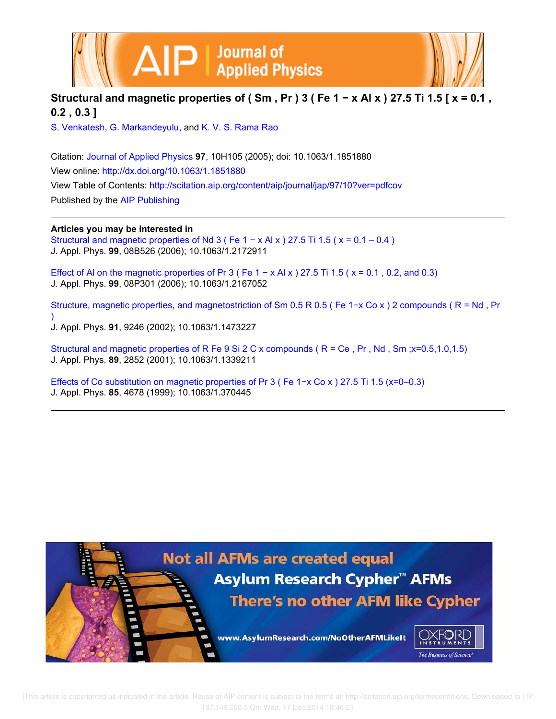

## **Structural and magnetic properties of ( Sm , Pr ) 3 ( Fe 1 − x Al x ) 27.5 Ti 1.5 [ x = 0.1 , 0.2 , 0.3 ]**

S. Venkatesh, G. Markandeyulu, and K. V. S. Rama Rao

Citation: Journal of Applied Physics **97**, 10H105 (2005); doi: 10.1063/1.1851880 View online: http://dx.doi.org/10.1063/1.1851880 View Table of Contents: http://scitation.aip.org/content/aip/journal/jap/97/10?ver=pdfcov Published by the AIP Publishing

## **Articles you may be interested in**

Structural and magnetic properties of Nd 3 ( Fe  $1 - x$  Al x ) 27.5 Ti 1.5 (  $x = 0.1 - 0.4$  ) J. Appl. Phys. **99**, 08B526 (2006); 10.1063/1.2172911

Effect of Al on the magnetic properties of Pr 3 ( Fe  $1 - x$  Al x ) 27.5 Ti 1.5 ( $x = 0.1$ , 0.2, and 0.3) J. Appl. Phys. **99**, 08P301 (2006); 10.1063/1.2167052

Structure, magnetic properties, and magnetostriction of Sm 0.5 R 0.5 ( Fe 1−x Co x ) 2 compounds ( R = Nd , Pr ) J. Appl. Phys. **91**, 9246 (2002); 10.1063/1.1473227

Structural and magnetic properties of R Fe 9 Si 2 C x compounds ( R = Ce , Pr , Nd , Sm ;x=0.5,1.0,1.5) J. Appl. Phys. **89**, 2852 (2001); 10.1063/1.1339211

Effects of Co substitution on magnetic properties of Pr 3 ( Fe 1−x Co x ) 27.5 Ti 1.5 (x=0–0.3) J. Appl. Phys. **85**, 4678 (1999); 10.1063/1.370445

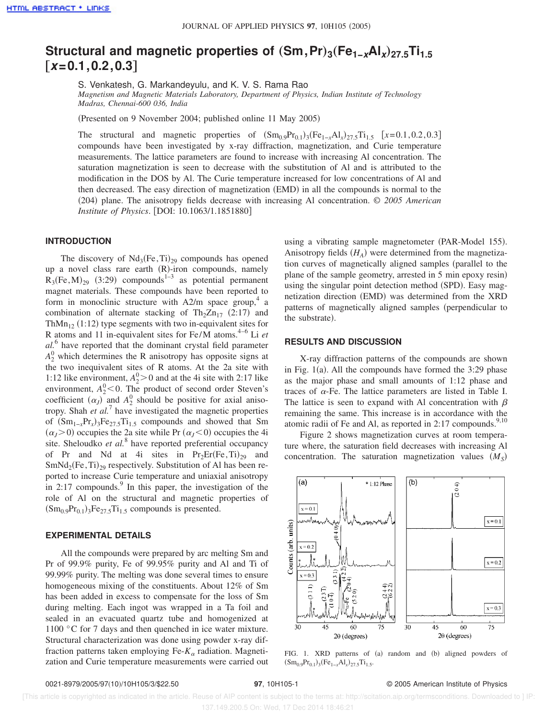# $\textsf{Structural}$  and magnetic properties of  $(\textsf{Sm},\textsf{Pr})_3(\textsf{Fe}_{1-\textsf{x}}\textsf{Al}_\textsf{x})_{27.5}\textsf{Ti}_{1.5}$ †**x=0.1,0.2,0.3**‡

S. Venkatesh, G. Markandeyulu, and K. V. S. Rama Rao *Magnetism and Magnetic Materials Laboratory, Department of Physics, Indian Institute of Technology*

*Madras, Chennai-600 036, India*

(Presented on 9 November 2004; published online 11 May 2005)

The structural and magnetic properties of  $(Sm_{0.9}Pr_{0.1})_3$   $(Fe_{1-x}Al_x)_{27.5}Ti_{1.5}$   $[x=0.1, 0.2, 0.3]$ compounds have been investigated by x-ray diffraction, magnetization, and Curie temperature measurements. The lattice parameters are found to increase with increasing Al concentration. The saturation magnetization is seen to decrease with the substitution of Al and is attributed to the modification in the DOS by Al. The Curie temperature increased for low concentrations of Al and then decreased. The easy direction of magnetization (EMD) in all the compounds is normal to the s204d plane. The anisotropy fields decrease with increasing Al concentration. © *2005 American Institute of Physics*. [DOI: 10.1063/1.1851880]

### **INTRODUCTION**

The discovery of  $Nd_3(Fe, Ti)_{29}$  compounds has opened up a novel class rare earth (R)-iron compounds, namely  $R_3$ (Fe, M)<sub>29</sub> (3:29) compounds<sup>1-3</sup> as potential permanent magnet materials. These compounds have been reported to form in monoclinic structure with  $A2/m$  space group,<sup>4</sup> a combination of alternate stacking of Th<sub>2</sub>Zn<sub>17</sub> (2:17) and Th $Mn_{12}$  (1:12) type segments with two in-equivalent sites for R atoms and 11 in-equivalent sites for Fe/M atoms.4–6 Li *et al.*<sup>6</sup> have reported that the dominant crystal field parameter  $A_2^0$  which determines the R anisotropy has opposite signs at the two inequivalent sites of R atoms. At the 2a site with 1:12 like environment,  $A_2^0 > 0$  and at the 4i site with 2:17 like environment,  $A_2^0$  < 0. The product of second order Steven's coefficient  $(\alpha_J)$  and  $A_2^0$  should be positive for axial anisotropy. Shah *et al.*<sup>7</sup> have investigated the magnetic properties of  $(Sm<sub>1-x</sub>Pr<sub>x</sub>)<sub>3</sub>Fe<sub>27.5</sub>Ti<sub>1.5</sub> compounds and showed that Sm$  $(\alpha_J > 0)$  occupies the 2a site while Pr  $(\alpha_J < 0)$  occupies the 4i site. Sheloudko *et al.*<sup>8</sup> have reported preferential occupancy of Pr and Nd at 4i sites in  $Pr_2Er(Fe, Ti)_{29}$  and  $SmNd_2(Fe, Ti)_{29}$  respectively. Substitution of Al has been reported to increase Curie temperature and uniaxial anisotropy in 2:17 compounds. In this paper, the investigation of the role of Al on the structural and magnetic properties of  $(Sm_{0.9}Pr_{0.1})_3Fe_{27.5}Ti_{1.5}$  compounds is presented.

#### **EXPERIMENTAL DETAILS**

All the compounds were prepared by arc melting Sm and Pr of 99.9% purity, Fe of 99.95% purity and Al and Ti of 99.99% purity. The melting was done several times to ensure homogeneous mixing of the constituents. About 12% of Sm has been added in excess to compensate for the loss of Sm during melting. Each ingot was wrapped in a Ta foil and sealed in an evacuated quartz tube and homogenized at 1100 °C for 7 days and then quenched in ice water mixture. Structural characterization was done using powder x-ray diffraction patterns taken employing Fe- $K_{\alpha}$  radiation. Magnetization and Curie temperature measurements were carried out using a vibrating sample magnetometer (PAR-Model 155). Anisotropy fields  $(H_A)$  were determined from the magnetization curves of magnetically aligned samples (parallel to the plane of the sample geometry, arrested in 5 min epoxy resin) using the singular point detection method (SPD). Easy magnetization direction (EMD) was determined from the XRD patterns of magnetically aligned samples (perpendicular to the substrate).

#### **RESULTS AND DISCUSSION**

X-ray diffraction patterns of the compounds are shown in Fig.  $1(a)$ . All the compounds have formed the 3:29 phase as the major phase and small amounts of 1:12 phase and traces of  $\alpha$ -Fe. The lattice parameters are listed in Table I. The lattice is seen to expand with Al concentration with  $\beta$ remaining the same. This increase is in accordance with the atomic radii of Fe and Al, as reported in  $2:17$  compounds.<sup>9,10</sup>

Figure 2 shows magnetization curves at room temperature where, the saturation field decreases with increasing Al concentration. The saturation magnetization values  $(M<sub>S</sub>)$ 



FIG. 1. XRD patterns of (a) random and (b) aligned powders of  $(Sm_{0.9}Pr_{0.1})_3(Fe_{1-x}Al_x)_{27.5}Ti_{1.5}.$ 

 [This article is copyrighted as indicated in the article. Reuse of AIP content is subject to the terms at: http://scitation.aip.org/termsconditions. Downloaded to ] IP: 137.149.200.5 On: Wed, 17 Dec 2014 18:46:21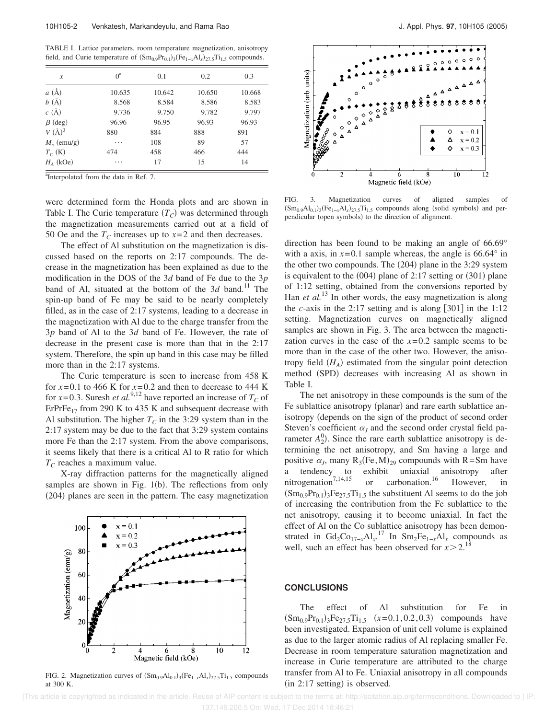TABLE I. Lattice parameters, room temperature magnetization, anisotropy field, and Curie temperature of  $(Sm_{0.9}Pr_{0.1})_3(Fe_{1-x}Al_x)_{27.5}Ti_{1.5}$  compounds.

| $\mathcal{X}$   | $0^a$  | 0.1    | 0.2    | 0.3    |
|-----------------|--------|--------|--------|--------|
| a(A)            | 10.635 | 10.642 | 10.650 | 10.668 |
| b(A)            | 8.568  | 8.584  | 8.586  | 8.583  |
| c(A)            | 9.736  | 9.750  | 9.782  | 9.797  |
| $\beta$ (deg)   | 96.96  | 96.95  | 96.93  | 96.93  |
| $V(\AA)^3$      | 880    | 884    | 888    | 891    |
| $M_{s}$ (emu/g) | .      | 108    | 89     | 57     |
| $T_C$ (K)       | 474    | 458    | 466    | 444    |
| $H_A$ (kOe)     | .      | 17     | 15     | 14     |

<sup>a</sup>Interpolated from the data in Ref. 7.

were determined form the Honda plots and are shown in Table I. The Curie temperature  $(T_C)$  was determined through the magnetization measurements carried out at a field of 50 Oe and the  $T_c$  increases up to  $x=2$  and then decreases.

The effect of Al substitution on the magnetization is discussed based on the reports on 2:17 compounds. The decrease in the magnetization has been explained as due to the modification in the DOS of the 3*d* band of Fe due to the 3*p* band of Al, situated at the bottom of the  $3d$  band.<sup>11</sup> The spin-up band of Fe may be said to be nearly completely filled, as in the case of 2:17 systems, leading to a decrease in the magnetization with Al due to the charge transfer from the 3*p* band of Al to the 3*d* band of Fe. However, the rate of decrease in the present case is more than that in the 2:17 system. Therefore, the spin up band in this case may be filled more than in the 2:17 systems.

The Curie temperature is seen to increase from 458 K for  $x=0.1$  to 466 K for  $x=0.2$  and then to decrease to 444 K for *x*=0.3. Suresh *et al.*<sup>9,12</sup> have reported an increase of  $T_C$  of ErPrFe<sub>17</sub> from 290 K to 435 K and subsequent decrease with Al substitution. The higher  $T_C$  in the 3:29 system than in the 2:17 system may be due to the fact that 3:29 system contains more Fe than the 2:17 system. From the above comparisons, it seems likely that there is a critical Al to R ratio for which *T<sup>C</sup>* reaches a maximum value.

X-ray diffraction patterns for the magnetically aligned samples are shown in Fig.  $1(b)$ . The reflections from only  $(204)$  planes are seen in the pattern. The easy magnetization



FIG. 2. Magnetization curves of  $(Sm_{0.9}Al_{0.1})_3(Fe_{1-x}Al_x)_{27.5}Ti_{1.5}$  compounds at 300 K.



FIG. 3. Magnetization curves of aligned samples of  $(Sm_{0.9}Al_{0.1})_3(Fe_{1-x}Al_x)_{27.5}Ti_{1.5}$  compounds along (solid symbols) and perpendicular (open symbols) to the direction of alignment.

direction has been found to be making an angle of 66.69° with a axis, in  $x=0.1$  sample whereas, the angle is 66.64 $\degree$  in the other two compounds. The  $(204)$  plane in the 3:29 system is equivalent to the  $(004)$  plane of 2:17 setting or  $(301)$  plane of 1:12 setting, obtained from the conversions reported by Han *et al.*<sup>13</sup> In other words, the easy magnetization is along the *c*-axis in the 2:17 setting and is along  $[301]$  in the 1:12 setting. Magnetization curves on magnetically aligned samples are shown in Fig. 3. The area between the magnetization curves in the case of the  $x=0.2$  sample seems to be more than in the case of the other two. However, the anisotropy field  $(H_A)$  estimated from the singular point detection method (SPD) decreases with increasing Al as shown in Table I.

The net anisotropy in these compounds is the sum of the Fe sublattice anisotropy (planar) and rare earth sublattice anisotropy (depends on the sign of the product of second order Steven's coefficient  $\alpha$ <sup>*I*</sup> and the second order crystal field parameter  $A_2^0$ ). Since the rare earth sublattice anisotropy is determining the net anisotropy, and Sm having a large and positive  $\alpha_j$ , many  $R_3$ (Fe, M)<sub>29</sub> compounds with R=Sm have a tendency to exhibit uniaxial anisotropy after<br>nitrogenation<sup>7,14,15</sup> or carbonation.<sup>16</sup> However, in nitrogenation<sup>7,14,15</sup> or carbonation.<sup>16</sup> However, in  $(\text{Sm}_{0.9}\text{Pr}_{0.1})_3\text{Fe}_{27.5}\text{Ti}_{1.5}$  the substituent Al seems to do the job of increasing the contribution from the Fe sublattice to the net anisotropy, causing it to become uniaxial. In fact the effect of Al on the Co sublattice anisotropy has been demonstrated in Gd<sub>2</sub>Co<sub>17-*x*</sub>Al<sub>*x*</sub></sub><sup>17</sup> In Sm<sub>2</sub>Fe<sub>1-*x*</sub>Al<sub>*x*</sub> compounds as well, such an effect has been observed for  $x > 2$ .<sup>1</sup>

#### **CONCLUSIONS**

The effect of Al substitution for Fe in  $(Sm_{0.9}Pr_{0.1})_3Fe_{27.5}Ti_{1.5}$   $(x=0.1, 0.2, 0.3)$  compounds have been investigated. Expansion of unit cell volume is explained as due to the larger atomic radius of Al replacing smaller Fe. Decrease in room temperature saturation magnetization and increase in Curie temperature are attributed to the charge transfer from Al to Fe. Uniaxial anisotropy in all compounds  $(in 2:17 setting)$  is observed.

 [This article is copyrighted as indicated in the article. Reuse of AIP content is subject to the terms at: http://scitation.aip.org/termsconditions. Downloaded to ] IP: 137.149.200.5 On: Wed, 17 Dec 2014 18:46:21